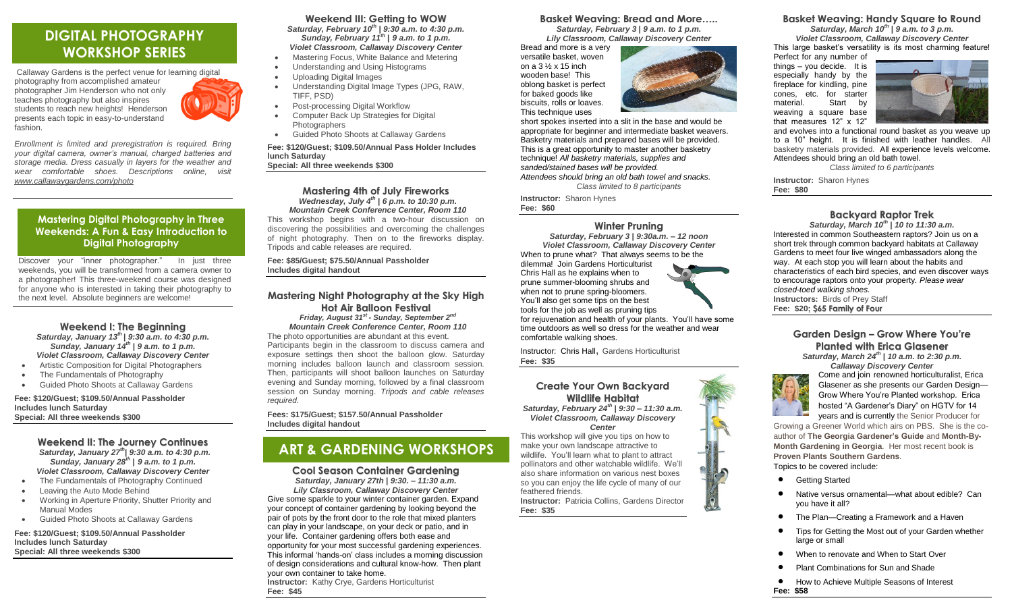# **DIGITAL PHOTOGRAPHY WORKSHOP SERIES**

Callaway Gardens is the perfect venue for learning digital photography from accomplished amateur photographer Jim Henderson who not only teaches photography but also inspires students to reach new heights! Henderson presents each topic in easy-to-understand fashion.



*your digital camera, owner's manual, charged batteries and storage media. Dress casually in layers for the weather and wear comfortable shoes. Descriptions online, visit [www.callawaygardens.com/photo](http://www.callawaygardens.com/photo)*

## **Mastering Digital Photography in Three Weekends: A Fun & Easy Introduction to Digital Photography**

Discover your "inner photographer." In just three weekends, you will be transformed from a camera owner to a photographer! This three-weekend course was designed for anyone who is interested in taking their photography to the next level. Absolute beginners are welcome!

#### **Weekend I: The Beginning** *Saturday, January 13th* **|** *9:30 a.m. to 4:30 p.m. Sunday, January 14th* **|** *9 a.m. to 1 p.m. Violet Classroom, Callaway Discovery Center*

- Artistic Composition for Digital Photographers
- The Fundamentals of Photography
- Guided Photo Shoots at Callaway Gardens

**Fee: \$120/Guest; \$109.50/Annual Passholder Includes lunch Saturday Special: All three weekends \$300**

> **Weekend II: The Journey Continues** *Saturday, January 27th***|** *9:30 a.m. to 4:30 p.m. Sunday, January 28th* **|** *9 a.m. to 1 p.m. Violet Classroom, Callaway Discovery Center* The Fundamentals of Photography Continued

- Leaving the Auto Mode Behind
- Working in Aperture Priority, Shutter Priority and Manual Modes
- Guided Photo Shoots at Callaway Gardens

**Fee: \$120/Guest; \$109.50/Annual Passholder Includes lunch Saturday Special: All three weekends \$300**

## **Weekend III: Getting to WOW**

*Saturday, February 10 th* **|** *9:30 a.m. to 4:30 p.m. Sunday, February 11 th* **|** *9 a.m. to 1 p.m. Violet Classroom, Callaway Discovery Center*

- Mastering Focus, White Balance and Metering
- Understanding and Using Histograms
	- Uploading Digital Images
	- Understanding Digital Image Types (JPG, RAW, TIFF, PSD)
	- Post-processing Digital Workflow
	- Computer Back Up Strategies for Digital **Photographers**
- Guided Photo Shoots at Callaway Gardens

**Fee: \$120/Guest; \$109.50/Annual Pass Holder Includes lunch Saturday Special: All three weekends \$300**

#### **Mastering 4th of July Fireworks** *Wednesday, July 4th* **|** *6 p.m. to 10:30 p.m. Mountain Creek Conference Center, Room 110*

This workshop begins with a two-hour discussion on discovering the possibilities and overcoming the challenges of night photography. Then on to the fireworks display. Tripods and cable releases are required.

**Fee: \$85/Guest; \$75.50/Annual Passholder Includes digital handout**

## **Mastering Night Photography at the Sky High**

**Hot Air Balloon Festival** *Friday, August 31st - Sunday, September 2 nd Mountain Creek Conference Center, Room 110* The photo opportunities are abundant at this event. Participants begin in the classroom to discuss camera and exposure settings then shoot the balloon glow. Saturday morning includes balloon launch and classroom session. Then, participants will shoot balloon launches on Saturday evening and Sunday morning, followed by a final classroom session on Sunday morning. *Tripods and cable releases required.*

**Fees: \$175/Guest; \$157.50/Annual Passholder Includes digital handout**

# **ART & GARDENING WORKSHOPS**

**Cool Season Container Gardening** *Saturday, January 27th* **|** *9:30. – 11:30 a.m. Lily Classroom, Callaway Discovery Center* Give some sparkle to your winter container garden. Expand

your concept of container gardening by looking beyond the pair of pots by the front door to the role that mixed planters can play in your landscape, on your deck or patio, and in your life. Container gardening offers both ease and opportunity for your most successful gardening experiences. This informal 'hands-on' class includes a morning discussion of design considerations and cultural know-how. Then plant your own container to take home. **Instructor:** Kathy Crye, Gardens Horticulturist **Fee: \$45**

## **Basket Weaving: Bread and More…..**

*Saturday, February 3* **|** *9 a.m. to 1 p.m. Lily Classroom, Callaway Discovery Center*

Bread and more is a very versatile basket, woven on a 3 ½ x 15 inch wooden base! This oblong basket is perfect for baked goods like biscuits, rolls or loaves. This technique uses



short spokes inserted into a slit in the base and would be appropriate for beginner and intermediate basket weavers. Basketry materials and prepared bases will be provided. This is a great opportunity to master another basketry technique! *All basketry materials, supplies and sanded/stained bases will be provided. Attendees should bring an old bath towel and snacks.*

*Class limited to 8 participants*

**Instructor:** Sharon Hynes **Fee: \$60**

## **Winter Pruning**

*Saturday, February 3* **|** *9:30a.m. – 12 noon Violet Classroom, Callaway Discovery Center* When to prune what? That always seems to be the dilemma! Join Gardens Horticulturist Chris Hall as he explains when to prune summer-blooming shrubs and when not to prune spring-bloomers. You'll also get some tips on the best tools for the job as well as pruning tips for rejuvenation and health of your plants. You'll have some time outdoors as well so dress for the weather and wear comfortable walking shoes.

Instructor: Chris Hall, Gardens Horticulturist **Fee: \$35**

**Create Your Own Backyard Wildlife Habitat** *Saturday, February 24th* **|** *9:30 – 11:30 a.m. Violet Classroom, Callaway Discovery Center*

This workshop will give you tips on how to make your own landscape attractive to wildlife. You'll learn what to plant to attract pollinators and other watchable wildlife. We'll also share information on various nest boxes so you can enjoy the life cycle of many of our feathered friends.

**Instructor:** Patricia Collins, Gardens Director **Fee: \$35**

## **Basket Weaving: Handy Square to Round**

*Saturday, March 10th* **|** *9 a.m. to 3 p.m. Violet Classroom, Callaway Discovery Center*

This large basket's versatility is its most charming feature! Perfect for any number of

things – you decide. It is especially handy by the fireplace for kindling, pine cones, etc. for starter material. Start by weaving a square base that measures 12" x 12"



and evolves into a functional round basket as you weave up to a 10" height. It is finished with leather handles. All basketry materials provided. All experience levels welcome. Attendees should bring an old bath towel. *Class limited to 6 participants*

**Instructor:** Sharon Hynes **Fee: \$80**

## **Backyard Raptor Trek**

*Saturday, March 10th* **|** *10 to 11:30 a.m.* Interested in common Southeastern raptors? Join us on a short trek through common backyard habitats at Callaway Gardens to meet four live winged ambassadors along the way. At each stop you will learn about the habits and characteristics of each bird species, and even discover ways to encourage raptors onto your property*. Please wear closed-toed walking shoes.*  **Instructors:** Birds of Prey Staff **Fee: \$20; \$65 Family of Four**

## **Garden Design – Grow Where You're Planted with Erica Glasener**

*Saturday, March 24th* **|** *10 a.m. to 2:30 p.m. Callaway Discovery Center*



Come and join renowned horticulturalist, Erica Glasener as she presents our Garden Design— Grow Where You're Planted workshop. Erica hosted "A Gardener's Diary" on HGTV for 14 years and is currently the Senior Producer for

Growing a Greener World which airs on PBS. She is the coauthor of **The Georgia Gardener's Guide** and **Month-By-Month Gardening in Georgia**. Her most recent book is **Proven Plants Southern Gardens**. Topics to be covered include:

- Getting Started
- Native versus ornamental—what about edible? Can you have it all?
- The Plan—Creating a Framework and a Haven
- Tips for Getting the Most out of your Garden whether large or small
- When to renovate and When to Start Over
- Plant Combinations for Sun and Shade
- **How to Achieve Multiple Seasons of Interest Fee: \$58**